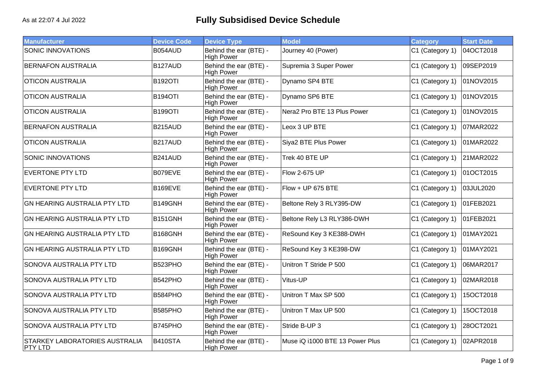| <b>Manufacturer</b>                                     | <b>Device Code</b>   | <b>Device Type</b>                          | <b>Model</b>                    | Category        | <b>Start Date</b> |
|---------------------------------------------------------|----------------------|---------------------------------------------|---------------------------------|-----------------|-------------------|
| <b>SONIC INNOVATIONS</b>                                | B054AUD              | Behind the ear (BTE) -<br><b>High Power</b> | Journey 40 (Power)              | C1 (Category 1) | 04OCT2018         |
| <b>BERNAFON AUSTRALIA</b>                               | B127AUD              | Behind the ear (BTE) -<br><b>High Power</b> | Supremia 3 Super Power          | C1 (Category 1) | 09SEP2019         |
| <b>OTICON AUSTRALIA</b>                                 | <b>B192OTI</b>       | Behind the ear (BTE) -<br><b>High Power</b> | Dynamo SP4 BTE                  | C1 (Category 1) | 01NOV2015         |
| <b>OTICON AUSTRALIA</b>                                 | <b>B194OTI</b>       | Behind the ear (BTE) -<br><b>High Power</b> | Dynamo SP6 BTE                  | C1 (Category 1) | 01NOV2015         |
| <b>OTICON AUSTRALIA</b>                                 | <b>B199OTI</b>       | Behind the ear (BTE) -<br><b>High Power</b> | Nera2 Pro BTE 13 Plus Power     | C1 (Category 1) | 01NOV2015         |
| <b>BERNAFON AUSTRALIA</b>                               | B215AUD              | Behind the ear (BTE) -<br><b>High Power</b> | Leox 3 UP BTE                   | C1 (Category 1) | 07MAR2022         |
| <b>OTICON AUSTRALIA</b>                                 | B217AUD              | Behind the ear (BTE) -<br><b>High Power</b> | Siya2 BTE Plus Power            | C1 (Category 1) | 01MAR2022         |
| <b>SONIC INNOVATIONS</b>                                | B241AUD              | Behind the ear (BTE) -<br><b>High Power</b> | Trek 40 BTE UP                  | C1 (Category 1) | 21MAR2022         |
| <b>EVERTONE PTY LTD</b>                                 | B079EVE              | Behind the ear (BTE) -<br><b>High Power</b> | Flow 2-675 UP                   | C1 (Category 1) | 01OCT2015         |
| <b>EVERTONE PTY LTD</b>                                 | B169EVE              | Behind the ear (BTE) -<br><b>High Power</b> | Flow + UP 675 BTE               | C1 (Category 1) | 03JUL2020         |
| <b>GN HEARING AUSTRALIA PTY LTD</b>                     | B149GNH              | Behind the ear (BTE) -<br><b>High Power</b> | Beltone Rely 3 RLY395-DW        | C1 (Category 1) | 01FEB2021         |
| <b>GN HEARING AUSTRALIA PTY LTD</b>                     | B <sub>151</sub> GNH | Behind the ear (BTE) -<br><b>High Power</b> | Beltone Rely L3 RLY386-DWH      | C1 (Category 1) | 01FEB2021         |
| <b>GN HEARING AUSTRALIA PTY LTD</b>                     | B168GNH              | Behind the ear (BTE) -<br><b>High Power</b> | ReSound Key 3 KE388-DWH         | C1 (Category 1) | 01MAY2021         |
| <b>GN HEARING AUSTRALIA PTY LTD</b>                     | B169GNH              | Behind the ear (BTE) -<br><b>High Power</b> | ReSound Key 3 KE398-DW          | C1 (Category 1) | 01MAY2021         |
| SONOVA AUSTRALIA PTY LTD                                | B523PHO              | Behind the ear (BTE) -<br><b>High Power</b> | Unitron T Stride P 500          | C1 (Category 1) | 06MAR2017         |
| SONOVA AUSTRALIA PTY LTD                                | B542PHO              | Behind the ear (BTE) -<br><b>High Power</b> | Vitus-UP                        | C1 (Category 1) | 02MAR2018         |
| SONOVA AUSTRALIA PTY LTD                                | B584PHO              | Behind the ear (BTE) -<br><b>High Power</b> | Unitron T Max SP 500            | C1 (Category 1) | 15OCT2018         |
| SONOVA AUSTRALIA PTY LTD                                | B585PHO              | Behind the ear (BTE) -<br><b>High Power</b> | Unitron T Max UP 500            | C1 (Category 1) | 15OCT2018         |
| SONOVA AUSTRALIA PTY LTD                                | B745PHO              | Behind the ear (BTE) -<br><b>High Power</b> | Stride B-UP 3                   | C1 (Category 1) | 28OCT2021         |
| <b>STARKEY LABORATORIES AUSTRALIA</b><br><b>PTY LTD</b> | B410STA              | Behind the ear (BTE) -<br><b>High Power</b> | Muse iQ i1000 BTE 13 Power Plus | C1 (Category 1) | 02APR2018         |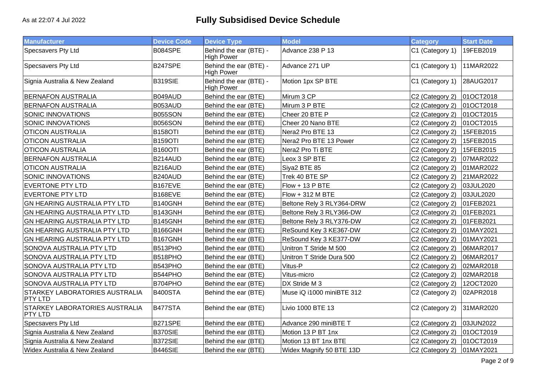| <b>Manufacturer</b>                                     | <b>Device Code</b>   | <b>Device Type</b>                          | <b>Model</b>              | <b>Category</b> | <b>Start Date</b> |
|---------------------------------------------------------|----------------------|---------------------------------------------|---------------------------|-----------------|-------------------|
| Specsavers Pty Ltd                                      | B084SPE              | Behind the ear (BTE) -<br><b>High Power</b> | Advance 238 P 13          | C1 (Category 1) | 19FEB2019         |
| Specsavers Pty Ltd                                      | B247SPE              | Behind the ear (BTE) -<br><b>High Power</b> | Advance 271 UP            | C1 (Category 1) | 11MAR2022         |
| Signia Australia & New Zealand                          | <b>B319SIE</b>       | Behind the ear (BTE) -<br><b>High Power</b> | Motion 1px SP BTE         | C1 (Category 1) | 28AUG2017         |
| <b>BERNAFON AUSTRALIA</b>                               | B049AUD              | Behind the ear (BTE)                        | Mirum 3 CP                | C2 (Category 2) | 01OCT2018         |
| <b>BERNAFON AUSTRALIA</b>                               | B053AUD              | Behind the ear (BTE)                        | Mirum 3 P BTE             | C2 (Category 2) | 01OCT2018         |
| <b>SONIC INNOVATIONS</b>                                | <b>B055SON</b>       | Behind the ear (BTE)                        | Cheer 20 BTE P            | C2 (Category 2) | 01OCT2015         |
| SONIC INNOVATIONS                                       | B056SON              | Behind the ear (BTE)                        | Cheer 20 Nano BTE         | C2 (Category 2) | 01OCT2015         |
| <b>OTICON AUSTRALIA</b>                                 | <b>B158OTI</b>       | Behind the ear (BTE)                        | Nera2 Pro BTE 13          | C2 (Category 2) | 15FEB2015         |
| <b>OTICON AUSTRALIA</b>                                 | <b>B159OTI</b>       | Behind the ear (BTE)                        | Nera2 Pro BTE 13 Power    | C2 (Category 2) | 15FEB2015         |
| <b>OTICON AUSTRALIA</b>                                 | <b>B160OTI</b>       | Behind the ear (BTE)                        | Nera2 Pro Ti BTE          | C2 (Category 2) | 15FEB2015         |
| <b>BERNAFON AUSTRALIA</b>                               | B214AUD              | Behind the ear (BTE)                        | Leox 3 SP BTE             | C2 (Category 2) | 07MAR2022         |
| <b>OTICON AUSTRALIA</b>                                 | B216AUD              | Behind the ear (BTE)                        | Siya2 BTE 85              | C2 (Category 2) | 01MAR2022         |
| <b>SONIC INNOVATIONS</b>                                | B240AUD              | Behind the ear (BTE)                        | Trek 40 BTE SP            | C2 (Category 2) | 21MAR2022         |
| <b>EVERTONE PTY LTD</b>                                 | B167EVE              | Behind the ear (BTE)                        | Flow + 13 P BTE           | C2 (Category 2) | 03JUL2020         |
| <b>EVERTONE PTY LTD</b>                                 | B168EVE              | Behind the ear (BTE)                        | Flow + 312 M BTE          | C2 (Category 2) | 03JUL2020         |
| <b>GN HEARING AUSTRALIA PTY LTD</b>                     | B140GNH              | Behind the ear (BTE)                        | Beltone Rely 3 RLY364-DRW | C2 (Category 2) | 01FEB2021         |
| GN HEARING AUSTRALIA PTY LTD                            | B143GNH              | Behind the ear (BTE)                        | Beltone Rely 3 RLY366-DW  | C2 (Category 2) | 01FEB2021         |
| <b>GN HEARING AUSTRALIA PTY LTD</b>                     | B145GNH              | Behind the ear (BTE)                        | Beltone Rely 3 RLY376-DW  | C2 (Category 2) | 01FEB2021         |
| GN HEARING AUSTRALIA PTY LTD                            | B166GNH              | Behind the ear (BTE)                        | ReSound Key 3 KE367-DW    | C2 (Category 2) | 01MAY2021         |
| GN HEARING AUSTRALIA PTY LTD                            | B <sub>167</sub> GNH | Behind the ear (BTE)                        | ReSound Key 3 KE377-DW    | C2 (Category 2) | 01MAY2021         |
| SONOVA AUSTRALIA PTY LTD                                | B513PHO              | Behind the ear (BTE)                        | Unitron T Stride M 500    | C2 (Category 2) | 06MAR2017         |
| SONOVA AUSTRALIA PTY LTD                                | B518PHO              | Behind the ear (BTE)                        | Unitron T Stride Dura 500 | C2 (Category 2) | 06MAR2017         |
| SONOVA AUSTRALIA PTY LTD                                | B543PHO              | Behind the ear (BTE)                        | Vitus-P                   | C2 (Category 2) | 02MAR2018         |
| SONOVA AUSTRALIA PTY LTD                                | B544PHO              | Behind the ear (BTE)                        | Vitus-micro               | C2 (Category 2) | 02MAR2018         |
| SONOVA AUSTRALIA PTY LTD                                | B704PHO              | Behind the ear (BTE)                        | DX Stride M 3             | C2 (Category 2) | 12OCT2020         |
| <b>STARKEY LABORATORIES AUSTRALIA</b><br><b>PTY LTD</b> | <b>B400STA</b>       | Behind the ear (BTE)                        | Muse iQ i1000 miniBTE 312 | C2 (Category 2) | 02APR2018         |
| STARKEY LABORATORIES AUSTRALIA<br>PTY LTD               | B477STA              | Behind the ear (BTE)                        | Livio 1000 BTE 13         | C2 (Category 2) | 31MAR2020         |
| Specsavers Pty Ltd                                      | B271SPE              | Behind the ear (BTE)                        | Advance 290 miniBTE T     | C2 (Category 2) | 03JUN2022         |
| Signia Australia & New Zealand                          | <b>B370SIE</b>       | Behind the ear (BTE)                        | Motion 13 P BT 1nx        | C2 (Category 2) | 01OCT2019         |
| Signia Australia & New Zealand                          | <b>B372SIE</b>       | Behind the ear (BTE)                        | Motion 13 BT 1nx BTE      | C2 (Category 2) | 01OCT2019         |
| Widex Australia & New Zealand                           | B446SIE              | Behind the ear (BTE)                        | Widex Magnify 50 BTE 13D  | C2 (Category 2) | 01MAY2021         |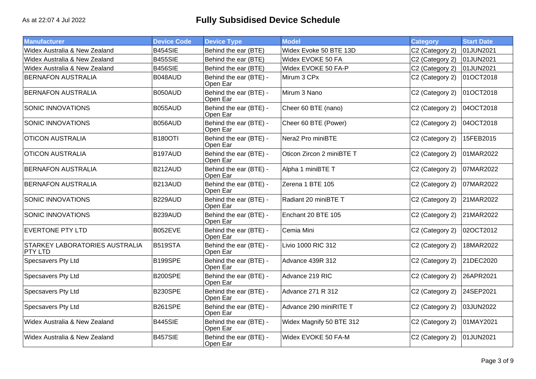| <b>Manufacturer</b>                       | <b>Device Code</b> | <b>Device Type</b>                 | <b>Model</b>              | <b>Category</b> | <b>Start Date</b> |
|-------------------------------------------|--------------------|------------------------------------|---------------------------|-----------------|-------------------|
| Widex Australia & New Zealand             | B454SIE            | Behind the ear (BTE)               | Widex Evoke 50 BTE 13D    | C2 (Category 2) | 01JUN2021         |
| Widex Australia & New Zealand             | <b>B455SIE</b>     | Behind the ear (BTE)               | Widex EVOKE 50 FA         | C2 (Category 2) | 01JUN2021         |
| Widex Australia & New Zealand             | B456SIE            | Behind the ear (BTE)               | Widex EVOKE 50 FA-P       | C2 (Category 2) | 01JUN2021         |
| <b>BERNAFON AUSTRALIA</b>                 | B048AUD            | Behind the ear (BTE) -<br>Open Ear | Mirum 3 CPx               | C2 (Category 2) | 01OCT2018         |
| <b>BERNAFON AUSTRALIA</b>                 | B050AUD            | Behind the ear (BTE) -<br>Open Ear | Mirum 3 Nano              | C2 (Category 2) | 01OCT2018         |
| SONIC INNOVATIONS                         | B055AUD            | Behind the ear (BTE) -<br>Open Ear | Cheer 60 BTE (nano)       | C2 (Category 2) | 04OCT2018         |
| SONIC INNOVATIONS                         | B056AUD            | Behind the ear (BTE) -<br>Open Ear | Cheer 60 BTE (Power)      | C2 (Category 2) | 04OCT2018         |
| <b>OTICON AUSTRALIA</b>                   | <b>B180OTI</b>     | Behind the ear (BTE) -<br>Open Ear | Nera2 Pro miniBTE         | C2 (Category 2) | 15FEB2015         |
| <b>OTICON AUSTRALIA</b>                   | B197AUD            | Behind the ear (BTE) -<br>Open Ear | Oticon Zircon 2 miniBTE T | C2 (Category 2) | 01MAR2022         |
| <b>BERNAFON AUSTRALIA</b>                 | B212AUD            | Behind the ear (BTE) -<br>Open Ear | Alpha 1 miniBTE T         | C2 (Category 2) | 07MAR2022         |
| <b>BERNAFON AUSTRALIA</b>                 | B213AUD            | Behind the ear (BTE) -<br>Open Ear | Zerena 1 BTE 105          | C2 (Category 2) | 07MAR2022         |
| SONIC INNOVATIONS                         | B229AUD            | Behind the ear (BTE) -<br>Open Ear | Radiant 20 miniBTE T      | C2 (Category 2) | 21MAR2022         |
| SONIC INNOVATIONS                         | B239AUD            | Behind the ear (BTE) -<br>Open Ear | Enchant 20 BTE 105        | C2 (Category 2) | 21MAR2022         |
| <b>EVERTONE PTY LTD</b>                   | B052EVE            | Behind the ear (BTE) -<br>Open Ear | Cemia Mini                | C2 (Category 2) | 02OCT2012         |
| STARKEY LABORATORIES AUSTRALIA<br>PTY LTD | B519STA            | Behind the ear (BTE) -<br>Open Ear | Livio 1000 RIC 312        | C2 (Category 2) | 18MAR2022         |
| Specsavers Pty Ltd                        | B199SPE            | Behind the ear (BTE) -<br>Open Ear | <b>Advance 439R 312</b>   | C2 (Category 2) | 21DEC2020         |
| Specsavers Pty Ltd                        | <b>B200SPE</b>     | Behind the ear (BTE) -<br>Open Ear | Advance 219 RIC           | C2 (Category 2) | 26APR2021         |
| <b>Specsavers Pty Ltd</b>                 | <b>B230SPE</b>     | Behind the ear (BTE) -<br>Open Ear | Advance 271 R 312         | C2 (Category 2) | 24SEP2021         |
| Specsavers Pty Ltd                        | <b>B261SPE</b>     | Behind the ear (BTE) -<br>Open Ear | Advance 290 miniRITE T    | C2 (Category 2) | 03JUN2022         |
| Widex Australia & New Zealand             | B445SIE            | Behind the ear (BTE) -<br>Open Ear | Widex Magnify 50 BTE 312  | C2 (Category 2) | 01MAY2021         |
| Widex Australia & New Zealand             | B457SIE            | Behind the ear (BTE) -<br>Open Ear | Widex EVOKE 50 FA-M       | C2 (Category 2) | 01JUN2021         |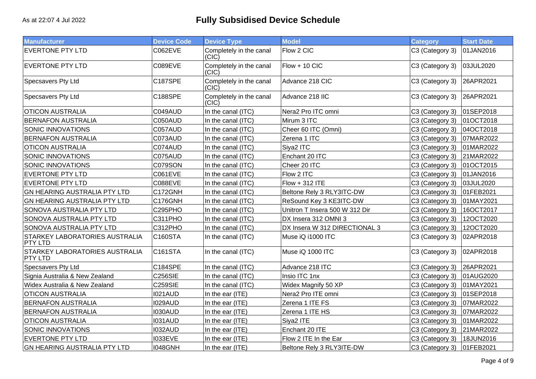| <b>Manufacturer</b>                                     | <b>Device Code</b> | <b>Device Type</b>               | <b>Model</b>                   | <b>Category</b>           | <b>Start Date</b> |
|---------------------------------------------------------|--------------------|----------------------------------|--------------------------------|---------------------------|-------------------|
| <b>EVERTONE PTY LTD</b>                                 | C062EVE            | Completely in the canal<br>(CIC) | Flow 2 CIC                     | C3 (Category 3)           | 01JAN2016         |
| <b>EVERTONE PTY LTD</b>                                 | C089EVE            | Completely in the canal<br>(CIC) | $Flow + 10 CIC$                | C3 (Category 3)           | 03JUL2020         |
| Specsavers Pty Ltd                                      | C187SPE            | Completely in the canal<br>(CIC) | Advance 218 CIC                | C3 (Category 3)           | 26APR2021         |
| Specsavers Pty Ltd                                      | C188SPE            | Completely in the canal<br>(CIC) | Advance 218 IIC                | C3 (Category 3)           | 26APR2021         |
| <b>OTICON AUSTRALIA</b>                                 | C049AUD            | In the canal (ITC)               | Nera2 Pro ITC omni             | C3 (Category 3)           | 01SEP2018         |
| <b>BERNAFON AUSTRALIA</b>                               | C050AUD            | In the canal (ITC)               | Mirum 3 ITC                    | C3 (Category 3)           | 01OCT2018         |
| <b>SONIC INNOVATIONS</b>                                | C057AUD            | In the canal (ITC)               | Cheer 60 ITC (Omni)            | C3 (Category 3)           | 04OCT2018         |
| <b>BERNAFON AUSTRALIA</b>                               | C073AUD            | In the canal (ITC)               | Zerena 1 ITC                   | C3 (Category 3)           | 07MAR2022         |
| <b>OTICON AUSTRALIA</b>                                 | C074AUD            | In the canal (ITC)               | Siya2 ITC                      | C3 (Category 3)           | 01MAR2022         |
| <b>SONIC INNOVATIONS</b>                                | C075AUD            | In the canal (ITC)               | Enchant 20 ITC                 | C3 (Category 3)           | 21MAR2022         |
| SONIC INNOVATIONS                                       | C079SON            | In the canal (ITC)               | Cheer 20 ITC                   | C3 (Category 3)           | 01OCT2015         |
| <b>EVERTONE PTY LTD</b>                                 | C061EVE            | In the canal (ITC)               | Flow 2 ITC                     | C3 (Category 3)           | 01JAN2016         |
| <b>EVERTONE PTY LTD</b>                                 | C088EVE            | In the canal (ITC)               | $Flow + 312$ ITE               | C3 (Category 3)           | 03JUL2020         |
| <b>GN HEARING AUSTRALIA PTY LTD</b>                     | C172GNH            | In the canal (ITC)               | Beltone Rely 3 RLY3ITC-DW      | C3 (Category 3)           | 01FEB2021         |
| <b>GN HEARING AUSTRALIA PTY LTD</b>                     | C176GNH            | In the canal (ITC)               | ReSound Key 3 KE3ITC-DW        | C3 (Category 3)           | 01MAY2021         |
| SONOVA AUSTRALIA PTY LTD                                | C295PHO            | In the canal (ITC)               | Unitron T Insera 500 W 312 Dir | C3 (Category 3)           | 16OCT2017         |
| SONOVA AUSTRALIA PTY LTD                                | C311PHO            | In the canal (ITC)               | DX Insera 312 OMNI 3           | C3 (Category 3)           | 12OCT2020         |
| SONOVA AUSTRALIA PTY LTD                                | C312PHO            | In the canal (ITC)               | DX Insera W 312 DIRECTIONAL 3  | C3 (Category 3)           | 12OCT2020         |
| <b>STARKEY LABORATORIES AUSTRALIA</b><br><b>PTY LTD</b> | C160STA            | In the canal (ITC)               | Muse iQ i1000 ITC              | C3 (Category 3)           | 02APR2018         |
| <b>STARKEY LABORATORIES AUSTRALIA</b><br><b>PTY LTD</b> | C161STA            | In the canal (ITC)               | Muse iQ 1000 ITC               | C3 (Category 3)           | 02APR2018         |
| Specsavers Pty Ltd                                      | C184SPE            | In the canal (ITC)               | Advance 218 ITC                | C3 (Category 3)           | 26APR2021         |
| Signia Australia & New Zealand                          | <b>C256SIE</b>     | In the canal (ITC)               | Insio ITC 1nx                  | C3 (Category 3)           | 01AUG2020         |
| Widex Australia & New Zealand                           | <b>C259SIE</b>     | In the canal (ITC)               | Widex Magnify 50 XP            | C3 (Category 3)           | 01MAY2021         |
| <b>OTICON AUSTRALIA</b>                                 | I021AUD            | In the ear (ITE)                 | Nera2 Pro ITE omni             | C3 (Category 3)           | 01SEP2018         |
| <b>BERNAFON AUSTRALIA</b>                               | I029AUD            | In the ear (ITE)                 | Zerena 1 ITE FS                | C3 (Category 3)           | 07MAR2022         |
| <b>BERNAFON AUSTRALIA</b>                               | I030AUD            | In the ear (ITE)                 | Zerena 1 ITE HS                | C3 (Category 3)           | 07MAR2022         |
| <b>OTICON AUSTRALIA</b>                                 | <b>I031AUD</b>     | In the ear (ITE)                 | Siya2 ITE                      | C3 (Category 3)           | 01MAR2022         |
| <b>SONIC INNOVATIONS</b>                                | I032AUD            | In the ear (ITE)                 | Enchant 20 ITE                 | C3 (Category 3)           | 21MAR2022         |
| <b>EVERTONE PTY LTD</b>                                 | <b>I033EVE</b>     | In the ear (ITE)                 | Flow 2 ITE In the Ear          | C3 (Category 3)           | 18JUN2016         |
| <b>GN HEARING AUSTRALIA PTY LTD</b>                     | 1048GNH            | In the ear (ITE)                 | Beltone Rely 3 RLY3ITE-DW      | C3 (Category 3) 01FEB2021 |                   |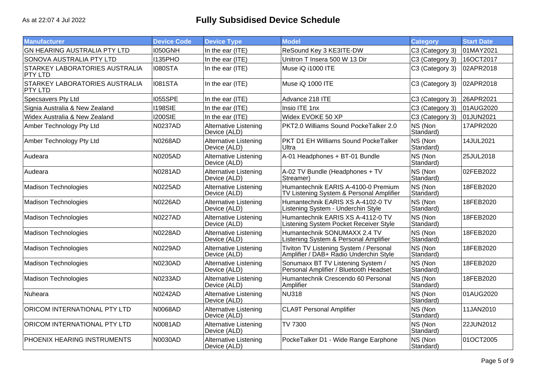| <b>Manufacturer</b>                       | <b>Device Code</b> | <b>Device Type</b>                           | <b>Model</b>                                                                     | <b>Category</b>      | <b>Start Date</b> |
|-------------------------------------------|--------------------|----------------------------------------------|----------------------------------------------------------------------------------|----------------------|-------------------|
| GN HEARING AUSTRALIA PTY LTD              | <b>I050GNH</b>     | In the ear (ITE)                             | ReSound Key 3 KE3ITE-DW                                                          | C3 (Category 3)      | 01MAY2021         |
| SONOVA AUSTRALIA PTY LTD                  | 1135PHO            | In the ear (ITE)                             | Unitron T Insera 500 W 13 Dir                                                    | C3 (Category 3)      | 16OCT2017         |
| STARKEY LABORATORIES AUSTRALIA<br>PTY LTD | <b>I080STA</b>     | In the ear (ITE)                             | Muse iQ i1000 ITE                                                                | C3 (Category 3)      | 02APR2018         |
| STARKEY LABORATORIES AUSTRALIA<br>PTY LTD | <b>I081STA</b>     | In the ear (ITE)                             | Muse iQ 1000 ITE                                                                 | C3 (Category 3)      | 02APR2018         |
| Specsavers Pty Ltd                        | <b>I055SPE</b>     | In the ear (ITE)                             | Advance 218 ITE                                                                  | C3 (Category 3)      | 26APR2021         |
| Signia Australia & New Zealand            | <b>I198SIE</b>     | In the ear (ITE)                             | Insio ITE 1nx                                                                    | C3 (Category 3)      | 01AUG2020         |
| Widex Australia & New Zealand             | <b>I200SIE</b>     | In the ear (ITE)                             | Widex EVOKE 50 XP                                                                | C3 (Category 3)      | 01JUN2021         |
| Amber Technology Pty Ltd                  | <b>N0237AD</b>     | <b>Alternative Listening</b><br>Device (ALD) | PKT2.0 Williams Sound PockeTalker 2.0                                            | NS (Non<br>Standard) | 17APR2020         |
| Amber Technology Pty Ltd                  | <b>N0268AD</b>     | <b>Alternative Listening</b><br>Device (ALD) | PKT D1 EH Williams Sound PockeTalker<br>Ultra                                    | NS (Non<br>Standard) | 14JUL2021         |
| Audeara                                   | <b>N0205AD</b>     | <b>Alternative Listening</b><br>Device (ALD) | A-01 Headphones + BT-01 Bundle                                                   | NS (Non<br>Standard) | 25JUL2018         |
| Audeara                                   | N0281AD            | <b>Alternative Listening</b><br>Device (ALD) | A-02 TV Bundle (Headphones + TV<br>Streamer)                                     | NS (Non<br>Standard) | 02FEB2022         |
| Madison Technologies                      | N0225AD            | Alternative Listening<br>Device (ALD)        | Humantechnik EARIS A-4100-0 Premium<br>TV Listening System & Personal Amplifier  | NS (Non<br>Standard) | 18FEB2020         |
| Madison Technologies                      | <b>N0226AD</b>     | Alternative Listening<br>Device (ALD)        | Humantechnik EARIS XS A-4102-0 TV<br>Listening System - Underchin Style          | NS (Non<br>Standard) | 18FEB2020         |
| Madison Technologies                      | <b>N0227AD</b>     | <b>Alternative Listening</b><br>Device (ALD) | Humantechnik EARIS XS A-4112-0 TV<br>Listening System Pocket Receiver Style      | NS (Non<br>Standard) | 18FEB2020         |
| Madison Technologies                      | <b>N0228AD</b>     | Alternative Listening<br>Device (ALD)        | Humantechnik SONUMAXX 2.4 TV<br>Listening System & Personal Amplifier            | NS (Non<br>Standard) | 18FEB2020         |
| <b>Madison Technologies</b>               | <b>N0229AD</b>     | Alternative Listening<br>Device (ALD)        | Tiviton TV Listening System / Personal<br>Amplifier / DAB+ Radio Underchin Style | NS (Non<br>Standard) | 18FEB2020         |
| Madison Technologies                      | <b>N0230AD</b>     | <b>Alternative Listening</b><br>Device (ALD) | Sonumaxx BT TV Listening System /<br>Personal Amplifier / Bluetooth Headset      | NS (Non<br>Standard) | 18FEB2020         |
| Madison Technologies                      | N0233AD            | Alternative Listening<br>Device (ALD)        | Humantechnik Crescendo 60 Personal<br>Amplifier                                  | NS (Non<br>Standard) | 18FEB2020         |
| Nuheara                                   | <b>N0242AD</b>     | <b>Alternative Listening</b><br>Device (ALD) | <b>NU318</b>                                                                     | NS (Non<br>Standard) | 01AUG2020         |
| ORICOM INTERNATIONAL PTY LTD              | <b>N0068AD</b>     | Alternative Listening<br>Device (ALD)        | <b>CLA9T Personal Amplifier</b>                                                  | NS (Non<br>Standard) | 11JAN2010         |
| ORICOM INTERNATIONAL PTY LTD              | <b>N0081AD</b>     | Alternative Listening<br>Device (ALD)        | TV 7300                                                                          | NS (Non<br>Standard) | 22JUN2012         |
| <b>PHOENIX HEARING INSTRUMENTS</b>        | <b>N0030AD</b>     | <b>Alternative Listening</b><br>Device (ALD) | PockeTalker D1 - Wide Range Earphone                                             | NS (Non<br>Standard) | 01OCT2005         |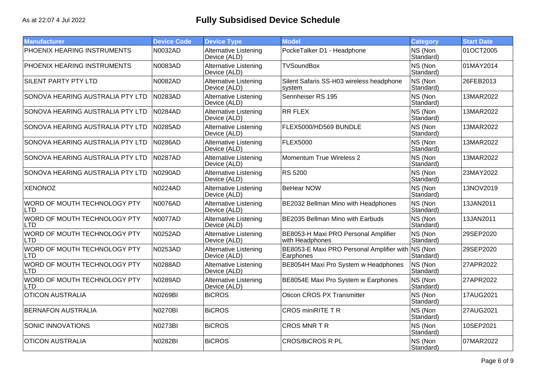| <b>Manufacturer</b>                        | <b>Device Code</b> | <b>Device Type</b>                           | <b>Model</b>                                            | <b>Category</b>      | <b>Start Date</b> |
|--------------------------------------------|--------------------|----------------------------------------------|---------------------------------------------------------|----------------------|-------------------|
| PHOENIX HEARING INSTRUMENTS                | N0032AD            | <b>Alternative Listening</b><br>Device (ALD) | PockeTalker D1 - Headphone                              | NS (Non<br>Standard) | 01OCT2005         |
| PHOENIX HEARING INSTRUMENTS                | N0083AD            | Alternative Listening<br>Device (ALD)        | <b>TVSoundBox</b>                                       | NS (Non<br>Standard) | 01MAY2014         |
| <b>SILENT PARTY PTY LTD</b>                | N0082AD            | <b>Alternative Listening</b><br>Device (ALD) | Silent Safaris SS-H03 wireless headphone<br>system      | NS (Non<br>Standard) | 26FEB2013         |
| SONOVA HEARING AUSTRALIA PTY LTD           | N0283AD            | <b>Alternative Listening</b><br>Device (ALD) | Sennheiser RS 195                                       | NS (Non<br>Standard) | 13MAR2022         |
| SONOVA HEARING AUSTRALIA PTY LTD           | N0284AD            | <b>Alternative Listening</b><br>Device (ALD) | <b>RR FLEX</b>                                          | NS (Non<br>Standard) | 13MAR2022         |
| SONOVA HEARING AUSTRALIA PTY LTD           | N0285AD            | <b>Alternative Listening</b><br>Device (ALD) | FLEX5000/HD569 BUNDLE                                   | NS (Non<br>Standard) | 13MAR2022         |
| SONOVA HEARING AUSTRALIA PTY LTD           | N0286AD            | <b>Alternative Listening</b><br>Device (ALD) | <b>FLEX5000</b>                                         | NS (Non<br>Standard) | 13MAR2022         |
| SONOVA HEARING AUSTRALIA PTY LTD           | N0287AD            | <b>Alternative Listening</b><br>Device (ALD) | Momentum True Wireless 2                                | NS (Non<br>Standard) | 13MAR2022         |
| SONOVA HEARING AUSTRALIA PTY LTD           | N0290AD            | Alternative Listening<br>Device (ALD)        | <b>RS 5200</b>                                          | NS (Non<br>Standard) | 23MAY2022         |
| <b>XENONOZ</b>                             | N0224AD            | <b>Alternative Listening</b><br>Device (ALD) | <b>BeHear NOW</b>                                       | NS (Non<br>Standard) | 13NOV2019         |
| WORD OF MOUTH TECHNOLOGY PTY<br><b>LTD</b> | N0076AD            | <b>Alternative Listening</b><br>Device (ALD) | BE2032 Bellman Mino with Headphones                     | NS (Non<br>Standard) | 13JAN2011         |
| WORD OF MOUTH TECHNOLOGY PTY<br>LTD        | N0077AD            | <b>Alternative Listening</b><br>Device (ALD) | BE2035 Bellman Mino with Earbuds                        | NS (Non<br>Standard) | 13JAN2011         |
| WORD OF MOUTH TECHNOLOGY PTY<br><b>LTD</b> | N0252AD            | <b>Alternative Listening</b><br>Device (ALD) | BE8053-H Maxi PRO Personal Amplifier<br>with Headphones | NS (Non<br>Standard) | 29SEP2020         |
| WORD OF MOUTH TECHNOLOGY PTY<br>LTD.       | N0253AD            | <b>Alternative Listening</b><br>Device (ALD) | BE8053-E Maxi PRO Personal Amplifier with<br>Earphones  | NS (Non<br>Standard) | 29SEP2020         |
| WORD OF MOUTH TECHNOLOGY PTY<br>LTD        | N0288AD            | <b>Alternative Listening</b><br>Device (ALD) | BE8054H Maxi Pro System w Headphones                    | NS (Non<br>Standard) | 27APR2022         |
| WORD OF MOUTH TECHNOLOGY PTY<br>LTD        | N0289AD            | <b>Alternative Listening</b><br>Device (ALD) | BE8054E Maxi Pro System w Earphones                     | NS (Non<br>Standard) | 27APR2022         |
| <b>OTICON AUSTRALIA</b>                    | N0269BI            | <b>BiCROS</b>                                | <b>Oticon CROS PX Transmitter</b>                       | NS (Non<br>Standard) | 17AUG2021         |
| <b>BERNAFON AUSTRALIA</b>                  | N0270BI            | <b>BiCROS</b>                                | <b>CROS miniRITE T R</b>                                | NS (Non<br>Standard) | 27AUG2021         |
| <b>SONIC INNOVATIONS</b>                   | N0273BI            | <b>BiCROS</b>                                | <b>CROS MNR T R</b>                                     | NS (Non<br>Standard) | 10SEP2021         |
| <b>OTICON AUSTRALIA</b>                    | N0282BI            | <b>BiCROS</b>                                | <b>CROS/BiCROS R PL</b>                                 | NS (Non<br>Standard) | 07MAR2022         |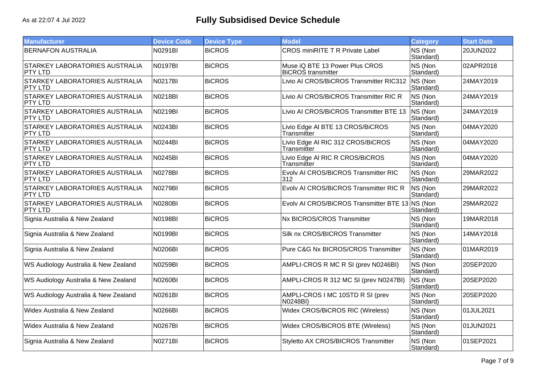| <b>Manufacturer</b>                                     | <b>Device Code</b> | <b>Device Type</b> | <b>Model</b>                                                | <b>Category</b>      | <b>Start Date</b> |
|---------------------------------------------------------|--------------------|--------------------|-------------------------------------------------------------|----------------------|-------------------|
| <b>BERNAFON AUSTRALIA</b>                               | N0291BI            | <b>BiCROS</b>      | <b>CROS miniRITE T R Private Label</b>                      | NS (Non<br>Standard) | 20JUN2022         |
| STARKEY LABORATORIES AUSTRALIA<br><b>PTY LTD</b>        | N0197BI            | <b>BiCROS</b>      | Muse iQ BTE 13 Power Plus CROS<br><b>BiCROS</b> transmitter | NS (Non<br>Standard) | 02APR2018         |
| STARKEY LABORATORIES AUSTRALIA<br><b>PTY LTD</b>        | N0217BI            | <b>BiCROS</b>      | Livio AI CROS/BiCROS Transmitter RIC312                     | NS (Non<br>Standard) | 24MAY2019         |
| STARKEY LABORATORIES AUSTRALIA<br>PTY LTD               | N0218BI            | <b>BiCROS</b>      | Livio AI CROS/BiCROS Transmitter RIC R                      | NS (Non<br>Standard) | 24MAY2019         |
| <b>STARKEY LABORATORIES AUSTRALIA</b><br><b>PTY LTD</b> | N0219BI            | <b>BiCROS</b>      | Livio AI CROS/BiCROS Transmitter BTE 13                     | NS (Non<br>Standard) | 24MAY2019         |
| <b>STARKEY LABORATORIES AUSTRALIA</b><br>PTY LTD        | N0243BI            | <b>BiCROS</b>      | Livio Edge AI BTE 13 CROS/BiCROS<br>Transmitter             | NS (Non<br>Standard) | 04MAY2020         |
| STARKEY LABORATORIES AUSTRALIA<br><b>PTY LTD</b>        | N0244BI            | <b>BiCROS</b>      | Livio Edge AI RIC 312 CROS/BiCROS<br>Transmitter            | NS (Non<br>Standard) | 04MAY2020         |
| STARKEY LABORATORIES AUSTRALIA<br><b>PTY LTD</b>        | N0245BI            | <b>BICROS</b>      | Livio Edge AI RIC R CROS/BiCROS<br>Transmitter              | NS (Non<br>Standard) | 04MAY2020         |
| STARKEY LABORATORIES AUSTRALIA<br><b>PTY LTD</b>        | N0278BI            | <b>BiCROS</b>      | Evolv AI CROS/BiCROS Transmitter RIC<br>312                 | NS (Non<br>Standard) | 29MAR2022         |
| STARKEY LABORATORIES AUSTRALIA<br><b>PTY LTD</b>        | N0279BI            | <b>BiCROS</b>      | Evolv AI CROS/BiCROS Transmitter RIC R                      | NS (Non<br>Standard) | 29MAR2022         |
| STARKEY LABORATORIES AUSTRALIA<br>PTY LTD               | N0280BI            | <b>BiCROS</b>      | Evolv AI CROS/BiCROS Transmitter BTE 13                     | NS (Non<br>Standard) | 29MAR2022         |
| Signia Australia & New Zealand                          | <b>N0198BI</b>     | <b>BiCROS</b>      | Nx BICROS/CROS Transmitter                                  | NS (Non<br>Standard) | 19MAR2018         |
| Signia Australia & New Zealand                          | N0199BI            | <b>BiCROS</b>      | Silk nx CROS/BICROS Transmitter                             | NS (Non<br>Standard) | 14MAY2018         |
| Signia Australia & New Zealand                          | <b>N0206BI</b>     | <b>BiCROS</b>      | Pure C&G Nx BICROS/CROS Transmitter                         | NS (Non<br>Standard) | 01MAR2019         |
| WS Audiology Australia & New Zealand                    | N0259BI            | <b>BiCROS</b>      | AMPLI-CROS R MC R SI (prev N0246BI)                         | NS (Non<br>Standard) | 20SEP2020         |
| WS Audiology Australia & New Zealand                    | N0260BI            | <b>BiCROS</b>      | AMPLI-CROS R 312 MC SI (prev N0247BI)                       | NS (Non<br>Standard) | 20SEP2020         |
| WS Audiology Australia & New Zealand                    | N0261BI            | <b>BiCROS</b>      | AMPLI-CROS I MC 10STD R SI (prev<br>N0248BI)                | NS (Non<br>Standard) | 20SEP2020         |
| Widex Australia & New Zealand                           | <b>N0266BI</b>     | <b>BiCROS</b>      | Widex CROS/BiCROS RIC (Wireless)                            | NS (Non<br>Standard) | 01JUL2021         |
| Widex Australia & New Zealand                           | <b>N0267BI</b>     | <b>BiCROS</b>      | Widex CROS/BiCROS BTE (Wireless)                            | NS (Non<br>Standard) | 01JUN2021         |
| Signia Australia & New Zealand                          | <b>N0271BI</b>     | <b>BiCROS</b>      | Styletto AX CROS/BICROS Transmitter                         | NS (Non<br>Standard) | 01SEP2021         |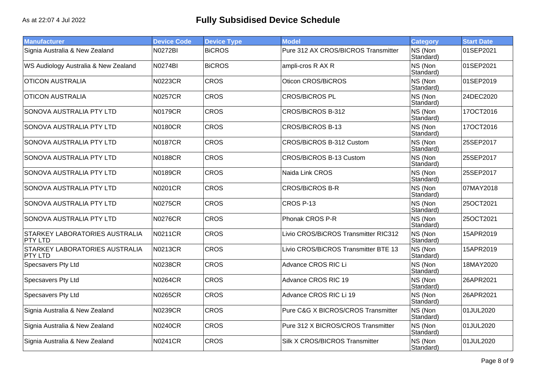| <b>Manufacturer</b>                              | <b>Device Code</b> | <b>Device Type</b> | <b>Model</b>                         | <b>Category</b>      | <b>Start Date</b> |
|--------------------------------------------------|--------------------|--------------------|--------------------------------------|----------------------|-------------------|
| Signia Australia & New Zealand                   | N0272BI            | <b>BiCROS</b>      | Pure 312 AX CROS/BICROS Transmitter  | NS (Non<br>Standard) | 01SEP2021         |
| WS Audiology Australia & New Zealand             | N0274BI            | <b>BiCROS</b>      | ampli-cros R AX R                    | NS (Non<br>Standard) | 01SEP2021         |
| <b>OTICON AUSTRALIA</b>                          | <b>N0223CR</b>     | <b>CROS</b>        | Oticon CROS/BiCROS                   | NS (Non<br>Standard) | 01SEP2019         |
| <b>OTICON AUSTRALIA</b>                          | <b>N0257CR</b>     | <b>CROS</b>        | <b>CROS/BiCROS PL</b>                | NS (Non<br>Standard) | 24DEC2020         |
| SONOVA AUSTRALIA PTY LTD                         | N0179CR            | <b>CROS</b>        | CROS/BiCROS B-312                    | NS (Non<br>Standard) | 17OCT2016         |
| SONOVA AUSTRALIA PTY LTD                         | N0180CR            | <b>CROS</b>        | <b>CROS/BiCROS B-13</b>              | NS (Non<br>Standard) | 17OCT2016         |
| SONOVA AUSTRALIA PTY LTD                         | <b>N0187CR</b>     | <b>CROS</b>        | CROS/BiCROS B-312 Custom             | NS (Non<br>Standard) | 25SEP2017         |
| SONOVA AUSTRALIA PTY LTD                         | <b>N0188CR</b>     | <b>CROS</b>        | <b>CROS/BiCROS B-13 Custom</b>       | NS (Non<br>Standard) | 25SEP2017         |
| SONOVA AUSTRALIA PTY LTD                         | N0189CR            | <b>CROS</b>        | Naida Link CROS                      | NS (Non<br>Standard) | 25SEP2017         |
| SONOVA AUSTRALIA PTY LTD                         | <b>N0201CR</b>     | <b>CROS</b>        | <b>CROS/BiCROS B-R</b>               | NS (Non<br>Standard) | 07MAY2018         |
| SONOVA AUSTRALIA PTY LTD                         | N0275CR            | <b>CROS</b>        | CROS P-13                            | NS (Non<br>Standard) | 25OCT2021         |
| SONOVA AUSTRALIA PTY LTD                         | N0276CR            | <b>CROS</b>        | Phonak CROS P-R                      | NS (Non<br>Standard) | 25OCT2021         |
| STARKEY LABORATORIES AUSTRALIA<br><b>PTY LTD</b> | N0211CR            | <b>CROS</b>        | Livio CROS/BiCROS Transmitter RIC312 | NS (Non<br>Standard) | 15APR2019         |
| <b>STARKEY LABORATORIES AUSTRALIA</b><br>PTY LTD | N0213CR            | <b>CROS</b>        | Livio CROS/BiCROS Transmitter BTE 13 | NS (Non<br>Standard) | 15APR2019         |
| Specsavers Pty Ltd                               | <b>N0238CR</b>     | <b>CROS</b>        | Advance CROS RIC Li                  | NS (Non<br>Standard) | 18MAY2020         |
| Specsavers Pty Ltd                               | <b>N0264CR</b>     | <b>CROS</b>        | Advance CROS RIC 19                  | NS (Non<br>Standard) | 26APR2021         |
| Specsavers Pty Ltd                               | N0265CR            | <b>CROS</b>        | Advance CROS RIC Li 19               | NS (Non<br>Standard) | 26APR2021         |
| Signia Australia & New Zealand                   | <b>N0239CR</b>     | <b>CROS</b>        | Pure C&G X BICROS/CROS Transmitter   | NS (Non<br>Standard) | 01JUL2020         |
| Signia Australia & New Zealand                   | <b>N0240CR</b>     | <b>CROS</b>        | Pure 312 X BICROS/CROS Transmitter   | NS (Non<br>Standard) | 01JUL2020         |
| Signia Australia & New Zealand                   | <b>N0241CR</b>     | <b>CROS</b>        | Silk X CROS/BICROS Transmitter       | NS (Non<br>Standard) | 01JUL2020         |